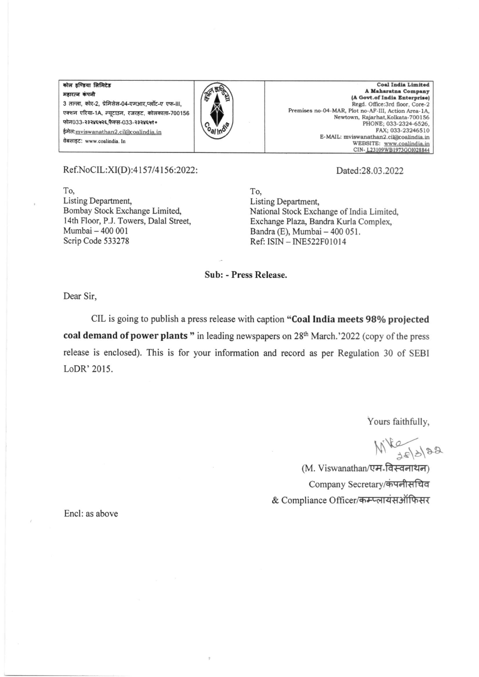कोल इण्डिया लिमिटेड महारत्न कंपनी 3 तल्ला, कोर-2, प्रेमिसेस-04-एमआर,प्लॉट-ए एफ-III, एक्शन एरिया-1A, न्यूटाउन, रजरहट, कोलकाता-700156 फोन033-२३२४६५२६,फैक्स-033-२३२४६५१० ईमेल:mviswanathan2.cil@coalindia.in वेबसाइट: www.coalindia. In



Coal India Limited A Maharatna Company (A Govt.of India Enterprise) Regd. Office:3rd floor, Core-2 Premises no-04-MAR, Plot no-AF-III, Action Area-1A, Newtown, Rajarhat, Kolkata-700156 PHONE; 033-2324-6526, FAX: 033-23246510 E-MAIL: mviswanathan2.cil@coalindia.in website: www.coalindia.in<br>
CIN-L23109WB1973GO1028844

## Ref.NoCIL:XI(D):4157/4156:2022:

To. Listing Department. Bombay Stock Exchange Limited, 14th Floor, P.J. Towers, Dalal Street, Mumbai - 400 001 Scrip Code 533278

Dated:28.03.2022

To. Listing Department, National Stock Exchange of India Limited, Exchange Plaza, Bandra Kurla Complex, Bandra (E), Mumbai - 400 051. Ref: ISIN - INE522F01014

Sub: - Press Release.

Dear Sir.

CIL is going to publish a press release with caption "Coal India meets 98% projected coal demand of power plants " in leading newspapers on 28th March.'2022 (copy of the press release is enclosed). This is for your information and record as per Regulation 30 of SEBI LoDR' 2015.

Yours faithfully,

Mike 10/22

(M. Viswanathan/एम-विस्वनाथन) Company Secretary/कंपनीसचिव & Compliance Officer/कम्प्लायंसऑफिसर

Encl: as above